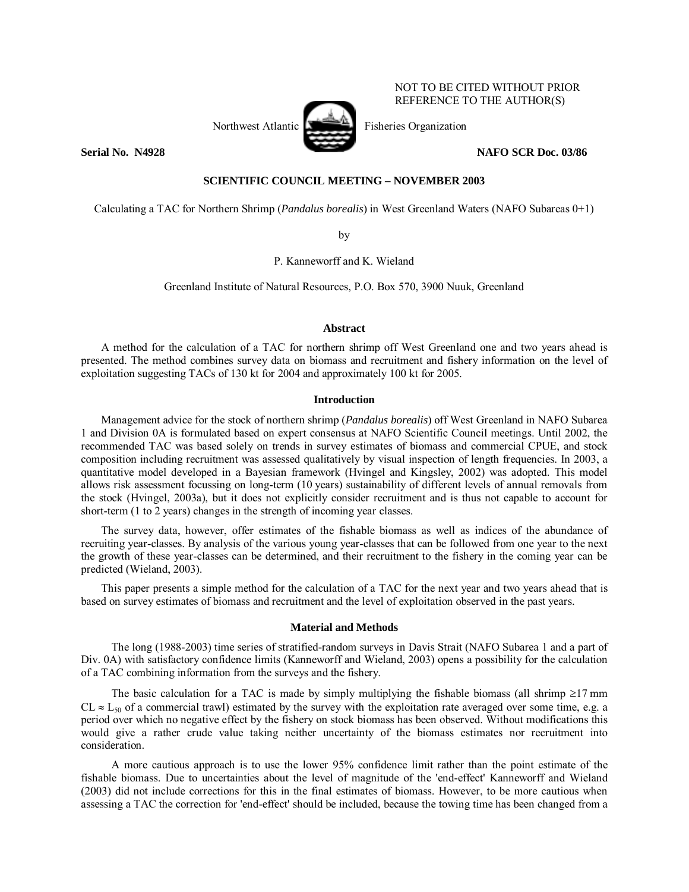

NOT TO BE CITED WITHOUT PRIOR REFERENCE TO THE AUTHOR(S)

# **SCIENTIFIC COUNCIL MEETING – NOVEMBER 2003**

Calculating a TAC for Northern Shrimp (*Pandalus borealis*) in West Greenland Waters (NAFO Subareas 0+1)

by

P. Kanneworff and K. Wieland

Greenland Institute of Natural Resources, P.O. Box 570, 3900 Nuuk, Greenland

## **Abstract**

A method for the calculation of a TAC for northern shrimp off West Greenland one and two years ahead is presented. The method combines survey data on biomass and recruitment and fishery information on the level of exploitation suggesting TACs of 130 kt for 2004 and approximately 100 kt for 2005.

### **Introduction**

Management advice for the stock of northern shrimp (*Pandalus borealis*) off West Greenland in NAFO Subarea 1 and Division 0A is formulated based on expert consensus at NAFO Scientific Council meetings. Until 2002, the recommended TAC was based solely on trends in survey estimates of biomass and commercial CPUE, and stock composition including recruitment was assessed qualitatively by visual inspection of length frequencies. In 2003, a quantitative model developed in a Bayesian framework (Hvingel and Kingsley, 2002) was adopted. This model allows risk assessment focussing on long-term (10 years) sustainability of different levels of annual removals from the stock (Hvingel, 2003a), but it does not explicitly consider recruitment and is thus not capable to account for short-term (1 to 2 years) changes in the strength of incoming year classes.

The survey data, however, offer estimates of the fishable biomass as well as indices of the abundance of recruiting year-classes. By analysis of the various young year-classes that can be followed from one year to the next the growth of these year-classes can be determined, and their recruitment to the fishery in the coming year can be predicted (Wieland, 2003).

This paper presents a simple method for the calculation of a TAC for the next year and two years ahead that is based on survey estimates of biomass and recruitment and the level of exploitation observed in the past years.

### **Material and Methods**

The long (1988-2003) time series of stratified-random surveys in Davis Strait (NAFO Subarea 1 and a part of Div. 0A) with satisfactory confidence limits (Kanneworff and Wieland, 2003) opens a possibility for the calculation of a TAC combining information from the surveys and the fishery.

The basic calculation for a TAC is made by simply multiplying the fishable biomass (all shrimp  $\geq$ 17 mm  $CL \approx L_{50}$  of a commercial trawl) estimated by the survey with the exploitation rate averaged over some time, e.g. a period over which no negative effect by the fishery on stock biomass has been observed. Without modifications this would give a rather crude value taking neither uncertainty of the biomass estimates nor recruitment into consideration.

A more cautious approach is to use the lower 95% confidence limit rather than the point estimate of the fishable biomass. Due to uncertainties about the level of magnitude of the 'end-effect' Kanneworff and Wieland (2003) did not include corrections for this in the final estimates of biomass. However, to be more cautious when assessing a TAC the correction for 'end-effect' should be included, because the towing time has been changed from a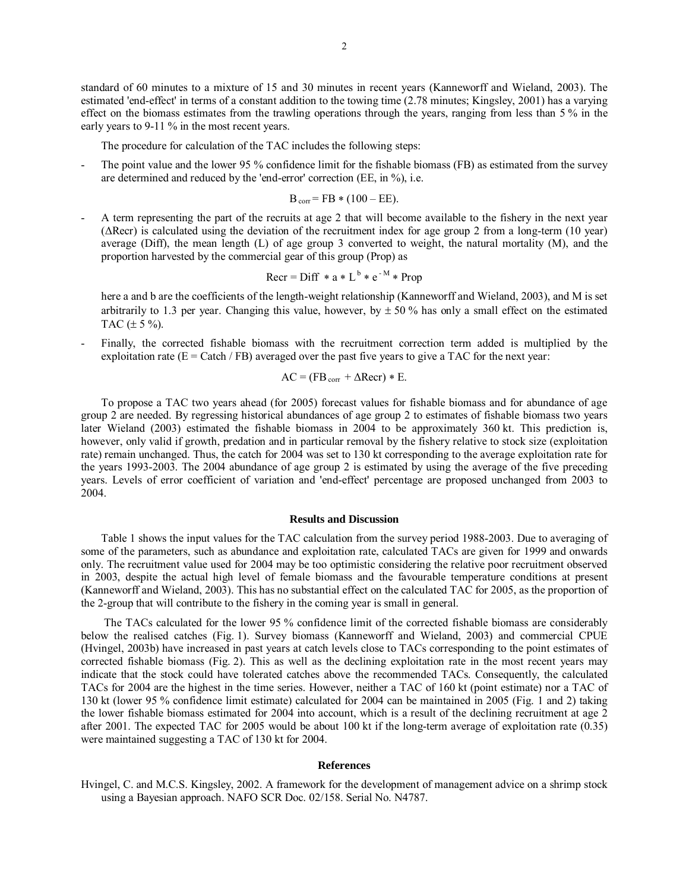standard of 60 minutes to a mixture of 15 and 30 minutes in recent years (Kanneworff and Wieland, 2003). The estimated 'end-effect' in terms of a constant addition to the towing time (2.78 minutes; Kingsley, 2001) has a varying effect on the biomass estimates from the trawling operations through the years, ranging from less than 5 % in the early years to 9-11 % in the most recent years.

The procedure for calculation of the TAC includes the following steps:

The point value and the lower 95 % confidence limit for the fishable biomass (FB) as estimated from the survey are determined and reduced by the 'end-error' correction (EE, in %), i.e.

$$
B_{\text{corr}} = FB * (100 - EE).
$$

A term representing the part of the recruits at age 2 that will become available to the fishery in the next year (∆Recr) is calculated using the deviation of the recruitment index for age group 2 from a long-term (10 year) average (Diff), the mean length (L) of age group 3 converted to weight, the natural mortality (M), and the proportion harvested by the commercial gear of this group (Prop) as

$$
Recr = Diff * a * Lb * e-M * Prop
$$

 here a and b are the coefficients of the length-weight relationship (Kanneworff and Wieland, 2003), and M is set arbitrarily to 1.3 per year. Changing this value, however, by  $\pm$  50 % has only a small effect on the estimated TAC  $(\pm 5 \%)$ .

- Finally, the corrected fishable biomass with the recruitment correction term added is multiplied by the exploitation rate  $(E = \text{Catch}/\text{FB})$  averaged over the past five years to give a TAC for the next year:

$$
AC = (FB_{corr} + \Delta Recr) * E.
$$

To propose a TAC two years ahead (for 2005) forecast values for fishable biomass and for abundance of age group 2 are needed. By regressing historical abundances of age group 2 to estimates of fishable biomass two years later Wieland (2003) estimated the fishable biomass in 2004 to be approximately 360 kt. This prediction is, however, only valid if growth, predation and in particular removal by the fishery relative to stock size (exploitation rate) remain unchanged. Thus, the catch for 2004 was set to 130 kt corresponding to the average exploitation rate for the years 1993-2003. The 2004 abundance of age group 2 is estimated by using the average of the five preceding years. Levels of error coefficient of variation and 'end-effect' percentage are proposed unchanged from 2003 to 2004.

#### **Results and Discussion**

Table 1 shows the input values for the TAC calculation from the survey period 1988-2003. Due to averaging of some of the parameters, such as abundance and exploitation rate, calculated TACs are given for 1999 and onwards only. The recruitment value used for 2004 may be too optimistic considering the relative poor recruitment observed in 2003, despite the actual high level of female biomass and the favourable temperature conditions at present (Kanneworff and Wieland, 2003). This has no substantial effect on the calculated TAC for 2005, as the proportion of the 2-group that will contribute to the fishery in the coming year is small in general.

 The TACs calculated for the lower 95 % confidence limit of the corrected fishable biomass are considerably below the realised catches (Fig. 1). Survey biomass (Kanneworff and Wieland, 2003) and commercial CPUE (Hvingel, 2003b) have increased in past years at catch levels close to TACs corresponding to the point estimates of corrected fishable biomass (Fig. 2). This as well as the declining exploitation rate in the most recent years may indicate that the stock could have tolerated catches above the recommended TACs. Consequently, the calculated TACs for 2004 are the highest in the time series. However, neither a TAC of 160 kt (point estimate) nor a TAC of 130 kt (lower 95 % confidence limit estimate) calculated for 2004 can be maintained in 2005 (Fig. 1 and 2) taking the lower fishable biomass estimated for 2004 into account, which is a result of the declining recruitment at age 2 after 2001. The expected TAC for 2005 would be about 100 kt if the long-term average of exploitation rate (0.35) were maintained suggesting a TAC of 130 kt for 2004.

#### **References**

Hvingel, C. and M.C.S. Kingsley, 2002. A framework for the development of management advice on a shrimp stock using a Bayesian approach. NAFO SCR Doc. 02/158. Serial No. N4787.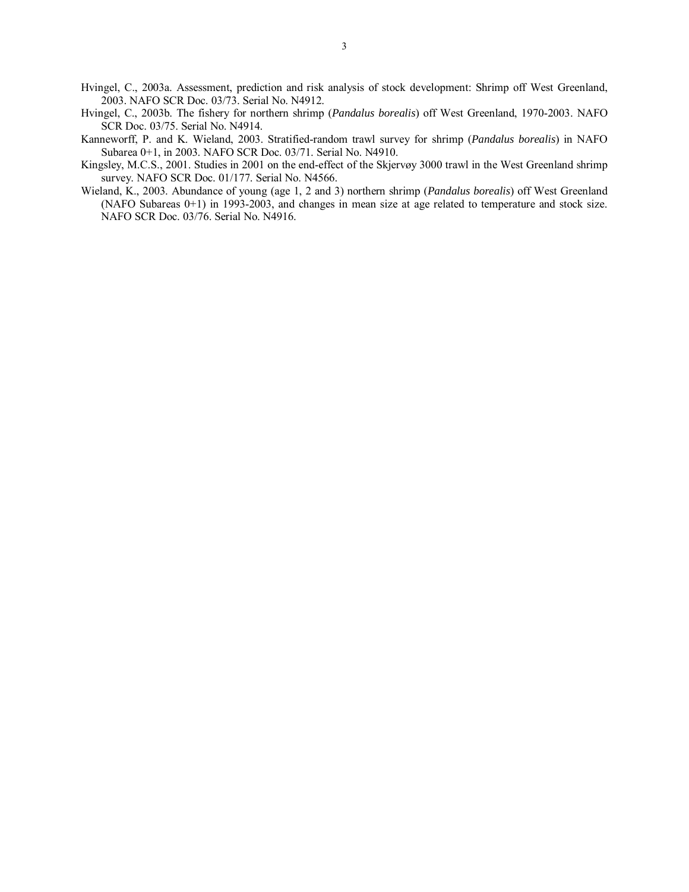- Hvingel, C., 2003a. Assessment, prediction and risk analysis of stock development: Shrimp off West Greenland, 2003. NAFO SCR Doc. 03/73. Serial No. N4912.
- Hvingel, C., 2003b. The fishery for northern shrimp (*Pandalus borealis*) off West Greenland, 1970-2003. NAFO SCR Doc. 03/75. Serial No. N4914.
- Kanneworff, P. and K. Wieland, 2003. Stratified-random trawl survey for shrimp (*Pandalus borealis*) in NAFO Subarea 0+1, in 2003. NAFO SCR Doc. 03/71. Serial No. N4910.
- Kingsley, M.C.S., 2001. Studies in 2001 on the end-effect of the Skjervøy 3000 trawl in the West Greenland shrimp survey. NAFO SCR Doc. 01/177. Serial No. N4566.
- Wieland, K., 2003. Abundance of young (age 1, 2 and 3) northern shrimp (*Pandalus borealis*) off West Greenland (NAFO Subareas 0+1) in 1993-2003, and changes in mean size at age related to temperature and stock size. NAFO SCR Doc. 03/76. Serial No. N4916.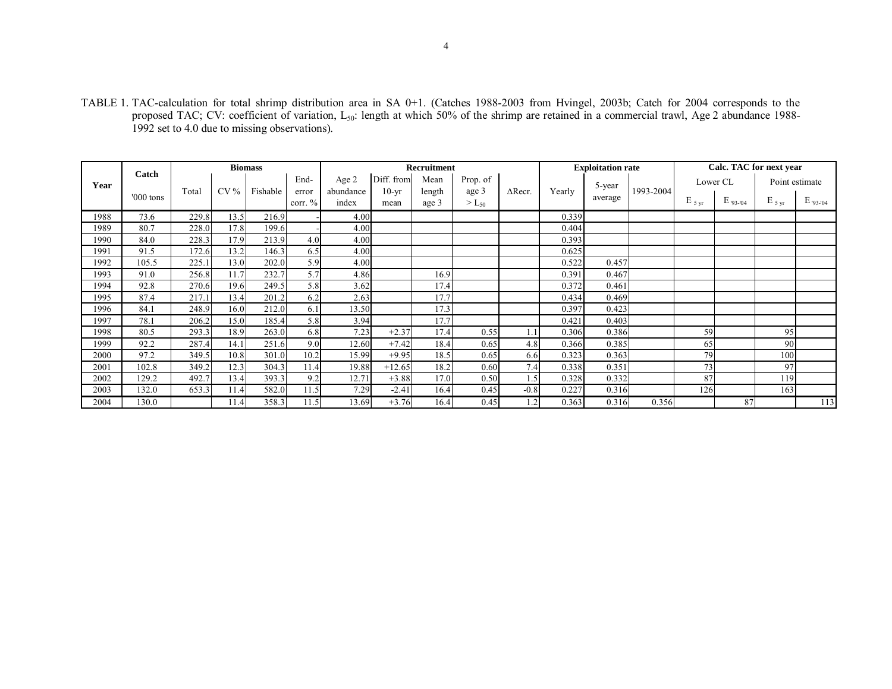TABLE 1. TAC-calculation for total shrimp distribution area in SA 0+1. (Catches 1988-2003 from Hvingel, 2003b; Catch for 2004 corresponds to the proposed TAC; CV: coefficient of variation, L<sub>50</sub>: length at which 50% of the shrimp are retained in a commercial trawl, Age 2 abundance 1988-1992 set to 4.0 due to missing observations).

| Year |             | <b>Biomass</b> |        |          |                             | <b>Recruitment</b> |            |        |            |                | <b>Exploitation rate</b> |                   |           | Calc. TAC for next year |             |                    |             |
|------|-------------|----------------|--------|----------|-----------------------------|--------------------|------------|--------|------------|----------------|--------------------------|-------------------|-----------|-------------------------|-------------|--------------------|-------------|
|      | Catch       |                | $CV\%$ | Fishable | End-<br>error<br>corr. $\%$ | Age 2              | Diff. from | Mean   | Prop. of   |                |                          | 5-year<br>average | 1993-2004 | Lower CL                |             | Point estimate     |             |
|      | $'000$ tons | Total          |        |          |                             | abundance          | $10-vr$    | length | age 3      | $\Delta$ Recr. | Yearly                   |                   |           |                         |             |                    |             |
|      |             |                |        |          |                             | index              | mean       | age 3  | $> L_{50}$ |                |                          |                   |           | $E_{5 \text{ yr}}$      | $E$ '93-'04 | $E_{5 \text{ yr}}$ | $E_{93-04}$ |
| 1988 | 73.6        | 229.8          | 13.5   | 216.9    |                             | 4.00               |            |        |            |                | 0.339                    |                   |           |                         |             |                    |             |
| 1989 | 80.7        | 228.0          | 17.8   | 199.6    |                             | 4.00               |            |        |            |                | 0.404                    |                   |           |                         |             |                    |             |
| 1990 | 84.0        | 228.3          | 17.9   | 213.9    | 4.0                         | 4.00               |            |        |            |                | 0.393                    |                   |           |                         |             |                    |             |
| 1991 | 91.5        | 172.6          | 13.2   | 146.3    | 6.5                         | 4.00               |            |        |            |                | 0.625                    |                   |           |                         |             |                    |             |
| 1992 | 105.5       | 225.1          | 13.0   | 202.0    | 5.9                         | 4.00               |            |        |            |                | 0.522                    | 0.457             |           |                         |             |                    |             |
| 1993 | 91.0        | 256.8          | 11.7   | 232.7    | 5.7                         | 4.86               |            | 16.9   |            |                | 0.391                    | 0.467             |           |                         |             |                    |             |
| 1994 | 92.8        | 270.6          | 19.6   | 249.5    | 5.8                         | 3.62               |            | 17.4   |            |                | 0.372                    | 0.461             |           |                         |             |                    |             |
| 1995 | 87.4        | 217.1          | 13.4   | 201.2    | 6.2                         | 2.63               |            | 17.7   |            |                | 0.434                    | 0.469             |           |                         |             |                    |             |
| 1996 | 84.1        | 248.9          | 16.0   | 212.0    | 6.1                         | 13.50              |            | 17.3   |            |                | 0.397                    | 0.423             |           |                         |             |                    |             |
| 1997 | 78.1        | 206.2          | 15.0   | 185.4    | 5.8                         | 3.94               |            | 17.7   |            |                | 0.421                    | 0.403             |           |                         |             |                    |             |
| 1998 | 80.5        | 293.3          | 18.9   | 263.0    | 6.8                         | 7.23               | $+2.37$    | 17.4   | 0.55       | 1.1            | 0.306                    | 0.386             |           | 59                      |             | 95                 |             |
| 1999 | 92.2        | 287.4          | 14.1   | 251.6    | 9.0                         | 12.60              | $+7.42$    | 18.4   | 0.65       | 4.8            | 0.366                    | 0.385             |           | 65                      |             | 90                 |             |
| 2000 | 97.2        | 349.5          | 10.8   | 301.0    | 10.2                        | 15.99              | $+9.95$    | 18.5   | 0.65       | 6.6            | 0.323                    | 0.363             |           | 79                      |             | 100                |             |
| 2001 | 102.8       | 349.2          | 12.3   | 304.3    | 11.4                        | 19.88              | $+12.65$   | 18.2   | 0.60       | 7.4            | 0.338                    | 0.351             |           | 73                      |             | 97                 |             |
| 2002 | 129.2       | 492.7          | 13.4   | 393.3    | 9.2                         | 12.71              | $+3.88$    | 17.0   | 0.50       | 1.5            | 0.328                    | 0.332             |           | 87                      |             | 119                |             |
| 2003 | 132.0       | 653.3          | 11.4   | 582.0    | 11.5                        | 7.29               | $-2.41$    | 16.4   | 0.45       | $-0.8$         | 0.227                    | 0.316             |           | 126                     |             | 163                |             |
| 2004 | 130.0       |                | 11.4   | 358.3    | 11.5                        | 13.69              | $+3.76$    | 16.4   | 0.45       | 1.2            | 0.363                    | 0.316             | 0.356     |                         | 87          |                    | 113         |